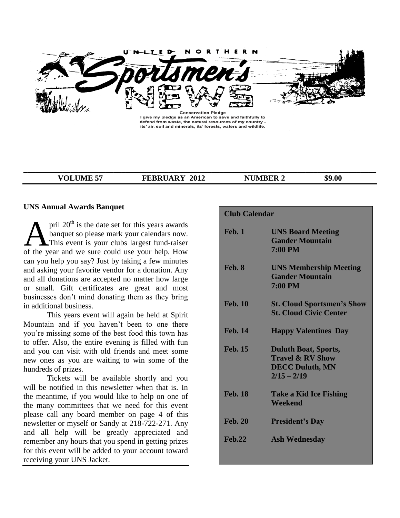

I give my pledge as an American to save and faithfully to defend from waste, the natural resources of my country -<br>its' air, soil and minerals, its' forests, waters and wildlife.

**\_\_\_\_\_\_\_\_\_\_\_\_\_\_\_\_\_\_\_\_\_\_\_\_\_\_\_\_\_\_\_\_\_\_\_\_\_\_\_\_\_\_\_\_\_\_\_\_\_\_\_\_\_\_\_\_\_\_\_\_\_\_\_\_\_\_\_\_\_\_\_\_\_\_\_\_\_\_\_\_\_\_\_\_\_\_\_\_\_\_**

**VOLUME 57 FEBRUARY 2012 NUMBER 2 \$9.00**

## **UNS Annual Awards Banquet**

pril  $20<sup>th</sup>$  is the date set for this years awards banquet so please mark your calendars now. **This event is your clubs largest fund-raiser**  $\sum_{\text{[1]}$  and the sure could use your calendars now.<br>This event is your clubs largest fund-raiser of the year and we sure could use your help. How can you help you say? Just by taking a few minutes and asking your favorite vendor for a donation. Any and all donations are accepted no matter how large or small. Gift certificates are great and most businesses don't mind donating them as they bring in additional business.

This years event will again be held at Spirit Mountain and if you haven't been to one there you're missing some of the best food this town has to offer. Also, the entire evening is filled with fun and you can visit with old friends and meet some new ones as you are waiting to win some of the hundreds of prizes.

Tickets will be available shortly and you will be notified in this newsletter when that is. In the meantime, if you would like to help on one of the many committees that we need for this event please call any board member on page 4 of this newsletter or myself or Sandy at 218-722-271. Any and all help will be greatly appreciated and remember any hours that you spend in getting prizes for this event will be added to your account toward receiving your UNS Jacket.

| <b>Club Calendar</b> |                                                                                                       |  |
|----------------------|-------------------------------------------------------------------------------------------------------|--|
| <b>Feb. 1</b>        | <b>UNS Board Meeting</b><br><b>Gander Mountain</b><br><b>7:00 PM</b>                                  |  |
| Feb. 8               | <b>UNS Membership Meeting</b><br><b>Gander Mountain</b><br><b>7:00 PM</b>                             |  |
| <b>Feb. 10</b>       | <b>St. Cloud Sportsmen's Show</b><br><b>St. Cloud Civic Center</b>                                    |  |
| <b>Feb. 14</b>       | <b>Happy Valentines Day</b>                                                                           |  |
| <b>Feb. 15</b>       | <b>Duluth Boat, Sports,</b><br><b>Travel &amp; RV Show</b><br><b>DECC Duluth, MN</b><br>$2/15 - 2/19$ |  |
| <b>Feb. 18</b>       | <b>Take a Kid Ice Fishing</b><br>Weekend                                                              |  |
| <b>Feb. 20</b>       | <b>President's Day</b>                                                                                |  |
| <b>Feb.22</b>        | <b>Ash Wednesday</b>                                                                                  |  |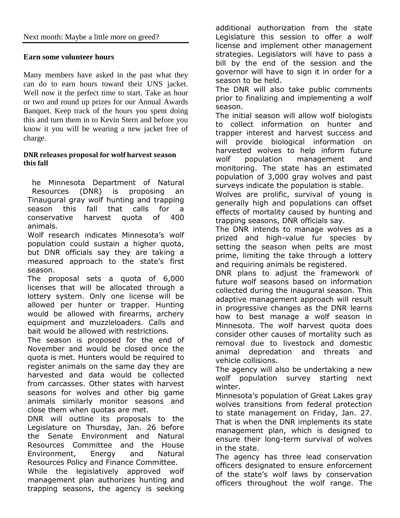# **Earn some volunteer hours**

Many members have asked in the past what they can do to earn hours toward their UNS jacket. Well now it the perfect time to start. Take an hour or two and round up prizes for our Annual Awards Banquet. Keep track of the hours you spent doing this and turn them in to Kevin Stern and before you know it you will be wearing a new jacket free of charge.

# **DNR releases proposal for wolf harvest season this fall**

he Minnesota Department of Natural Resources (DNR) is proposing an Tinaugural gray wolf hunting and trapping season this fall that calls for a conservative harvest quota of 400 animals.

Wolf research indicates Minnesota's wolf population could sustain a higher quota, but DNR officials say they are taking a measured approach to the state's first season.

The proposal sets a quota of 6,000 licenses that will be allocated through a lottery system. Only one license will be allowed per hunter or trapper. Hunting would be allowed with firearms, archery equipment and muzzleloaders. Calls and bait would be allowed with restrictions.

The season is proposed for the end of November and would be closed once the quota is met. Hunters would be required to register animals on the same day they are harvested and data would be collected from carcasses. Other states with harvest seasons for wolves and other big game animals similarly monitor seasons and close them when quotas are met.

DNR will outline its proposals to the Legislature on Thursday, Jan. 26 before the Senate Environment and Natural Resources Committee and the House Environment, Energy and Natural Resources Policy and Finance Committee. While the legislatively approved wolf management plan authorizes hunting and trapping seasons, the agency is seeking additional authorization from the state Legislature this session to offer a wolf license and implement other management strategies. Legislators will have to pass a bill by the end of the session and the governor will have to sign it in order for a season to be held.

The DNR will also take public comments prior to finalizing and implementing a wolf season.

The initial season will allow wolf biologists to collect information on hunter and trapper interest and harvest success and will provide biological information on harvested wolves to help inform future wolf population management and monitoring. The state has an estimated population of 3,000 gray wolves and past surveys indicate the population is stable.

Wolves are prolific, survival of young is generally high and populations can offset effects of mortality caused by hunting and trapping seasons, DNR officials say.

The DNR intends to manage wolves as a prized and high-value fur species by setting the season when pelts are most prime, limiting the take through a lottery and requiring animals be registered.

DNR plans to adjust the framework of future wolf seasons based on information collected during the inaugural season. This adaptive management approach will result in progressive changes as the DNR learns how to best manage a wolf season in Minnesota. The wolf harvest quota does consider other causes of mortality such as removal due to livestock and domestic animal depredation and threats and vehicle collisions.

The agency will also be undertaking a new wolf population survey starting next winter.

Minnesota's population of Great Lakes gray wolves transitions from federal protection to state management on Friday, Jan. 27. That is when the DNR implements its state management plan, which is designed to ensure their long-term survival of wolves in the state.

The agency has three lead conservation officers designated to ensure enforcement of the state's wolf laws by conservation officers throughout the wolf range. The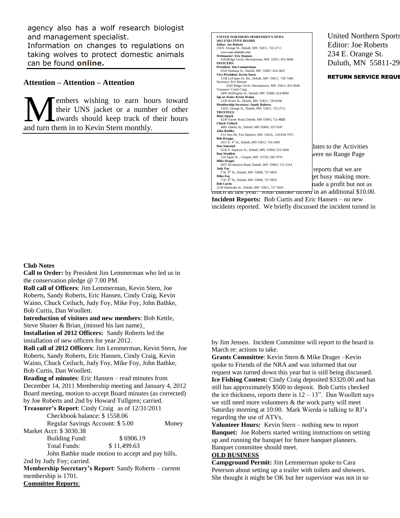agency also has a wolf research biologist and management specialist.

Information on changes to regulations on taking wolves to protect domestic animals can be found **[online.](http://www.mndnr.gov/wolves)** 

## **Attention – Attention – Attention**

embers wishing to earn hours toward their UNS jacket or a number of other awards should keep track of their hours and turn them in to Kevin Stern monthly. M

|                                                                             | <b>United Northern Sports</b> |
|-----------------------------------------------------------------------------|-------------------------------|
| UNITED NORTHERN SPORTSMEN'S NEWS                                            |                               |
| <b>2012 EXECITIVE BOARD</b><br><b>Editor: Joe Roberts</b>                   |                               |
| 234 E. Orange St., Duluth, MN 55811, 722-2711                               | Editor: Joe Roberts           |
| www.uns-duluth.com                                                          |                               |
| <b>Webmaster: Eric Hansen</b>                                               | 234 E. Orange St.             |
| 4182Ridge Circle, Hermantown, MN 55811, 831-8646                            |                               |
| <b>OFFICERS:</b>                                                            | Duluth, MN 55811-29           |
| <b>President: Jim Lemmerman</b>                                             |                               |
| 6316 Nashaua St., Duluth, MN 55807, 624-3847                                |                               |
| Vice-President: Kevin Stern                                                 | <b>RETURN SERVICE REQUE</b>   |
| 5158 LaVaque Jct. Rd., Duluth, MN 55811, 729-7496                           |                               |
| Secretary: Eric Hansen                                                      |                               |
| 4182 Ridge Circle, Hermantown, MN 55811, 831-8646                           |                               |
| Treasurer: Cindy Craig<br>2805 Wellington St., Duluth, MN 55806, 624-0069   |                               |
| Sgt-at-Arms: Kevin Waino                                                    |                               |
| 2130 Water St., Duluth, MN 55812, 728-0196                                  |                               |
| <b>Membership Secretary: Sandy Roberts</b>                                  |                               |
| 234 E. Orange St., Duluth, MN 55811, 722-2711                               |                               |
| <b>TRUSTEES:</b>                                                            |                               |
| <b>Matt Opack</b>                                                           |                               |
| 4234 Turner Road, Duluth, MN 55803, 721-4125                                |                               |
| <b>Chuck Cieluch</b>                                                        |                               |
| 4801 Oakley St., Duluth, MN 55804, 525-5547                                 |                               |
| <b>John Bathke</b>                                                          |                               |
| P.O. Box 86, Two Harbors, MN 55616, 218-834-7075                            |                               |
| <b>Bob Krepps</b>                                                           |                               |
| 2017 E. 4 <sup>th</sup> St., Duluth, MN 55812, 724-3403                     |                               |
| <b>Dan Smestad</b><br>6226 E. Superior St., Duluth, MN, 55804, 525-3669     | lates to the Activities       |
| Dan Woollett                                                                |                               |
| 314 Agete St., Cloquet, MN 55720, 590-7076                                  | were no Range Page            |
| <b>Mike Drager</b>                                                          |                               |
| 6657 Brookmere Road, Duluth, MN 55803, 721-2314                             |                               |
| <b>Judy Fov</b>                                                             | reports that we are           |
| 5 W. 8th St., Duluth, MN 55806, 727-9833                                    |                               |
| <b>Mike Fov</b>                                                             | get busy making more.         |
| 5 W. 8 <sup>th</sup> St., Duluth, MN 55806, 727-9833                        |                               |
| <b>Bob Curtis</b>                                                           | nade a profit but not as      |
| 2238 Nanticoke St., Duluth, MN 55811, 727-3645                              |                               |
| mu <del>en as iast year. John Dauike turned</del> in an additional \$10.00. |                               |

**Incident Reports:** Bob Curtis and Eric Hansen – no new incidents reported. We briefly discussed the incident turned in

#### **Club Notes**

**Call to Order:** by President Jim Lemmerman who led us in the conservation pledge @ 7.00 PM.

**Roll call of Officers**: Jim Lemmerman, Kevin Stern, Joe Roberts, Sandy Roberts, Eric Hansen, Cindy Craig, Kevin Waino, Chuck Ceiluch, Judy Foy, Mike Foy, John Bathke, Bob Curtis, Dan Woollett.

**Introduction of visitors and new members**: Bob Kettle, Steve Shaner & Brian (missed his last name)

**Installation of 2012 Officers:** Sandy Roberts led the installation of new officers for year 2012.

**Roll call of 2012 Officers**: Jim Lemmerman, Kevin Stern, Joe Roberts, Sandy Roberts, Eric Hansen, Cindy Craig, Kevin Waino, Chuck Ceiluch, Judy Foy, Mike Foy, John Bathke, Bob Curtis, Dan Woollett.

**Reading of minutes**: Eric Hansen – read minutes from December 14, 2011 Membership meeting and January 4, 2012 Board meeting, motion to accept Board minutes (as corrected) by Joe Roberts and 2nd by Howard Tullgren; carried.

**Treasurer's Report**: Cindy Craig as of 12/31/2011 Checkbook balance: \$ 1558.06 Regular Savings Account: \$ 5.00 Money Market Acct: \$ 3030.38 Building Fund: \$ 6906.19 Total Funds: \$ 11,499.63

John Bathke made motion to accept and pay bills, 2nd by Judy Foy; carried.

**Membership Secretary's Report**: Sandy Roberts – current membership is 1701.

**Committee Reports**:

by Jim Jensen. Incident Committee will report to the board in March re: actions to take.

**Grants Committee**: Kevin Stern & Mike Drager –Kevin spoke to Friends of the NRA and was informed that our request was turned down this year but is still being discussed. **Ice Fishing Contest:** Cindy Craig deposited \$3320.00 and has still has approximately \$500 to deposit. Bob Curtis checked the ice thickness, reports there is  $12 - 13$ ". Dan Woollett says we still need more volunteers & the work party will meet Saturday morning at 10:00. Mark Wierda is talking to RJ's regarding the use of ATVs.

**Volunteer Hours:** Kevin Stern – nothing new to report **Banquet:** Joe Roberts started writing instructions on setting up and running the banquet for future banquet planners. Banquet committee should meet.

### **OLD BUSINESS**

**Campground Permit:** Jim Lemmerman spoke to Cara Peterson about setting up a trailer with toilets and showers. She thought it might be OK but her supervisor was not in so